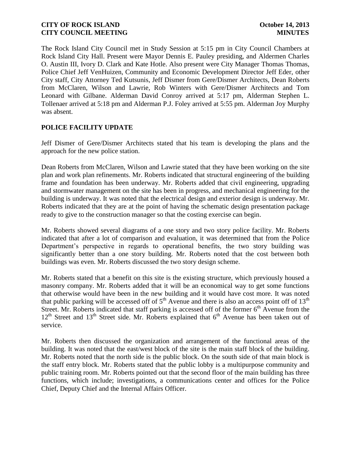The Rock Island City Council met in Study Session at 5:15 pm in City Council Chambers at Rock Island City Hall. Present were Mayor Dennis E. Pauley presiding, and Aldermen Charles O. Austin III, Ivory D. Clark and Kate Hotle. Also present were City Manager Thomas Thomas, Police Chief Jeff VenHuizen, Community and Economic Development Director Jeff Eder, other City staff, City Attorney Ted Kutsunis, Jeff Dismer from Gere/Dismer Architects, Dean Roberts from McClaren, Wilson and Lawrie, Rob Winters with Gere/Dismer Architects and Tom Leonard with Gilbane. Alderman David Conroy arrived at 5:17 pm, Alderman Stephen L. Tollenaer arrived at 5:18 pm and Alderman P.J. Foley arrived at 5:55 pm. Alderman Joy Murphy was absent.

## **POLICE FACILITY UPDATE**

Jeff Dismer of Gere/Dismer Architects stated that his team is developing the plans and the approach for the new police station.

Dean Roberts from McClaren, Wilson and Lawrie stated that they have been working on the site plan and work plan refinements. Mr. Roberts indicated that structural engineering of the building frame and foundation has been underway. Mr. Roberts added that civil engineering, upgrading and stormwater management on the site has been in progress, and mechanical engineering for the building is underway. It was noted that the electrical design and exterior design is underway. Mr. Roberts indicated that they are at the point of having the schematic design presentation package ready to give to the construction manager so that the costing exercise can begin.

Mr. Roberts showed several diagrams of a one story and two story police facility. Mr. Roberts indicated that after a lot of comparison and evaluation, it was determined that from the Police Department's perspective in regards to operational benefits, the two story building was significantly better than a one story building. Mr. Roberts noted that the cost between both buildings was even. Mr. Roberts discussed the two story design scheme.

Mr. Roberts stated that a benefit on this site is the existing structure, which previously housed a masonry company. Mr. Roberts added that it will be an economical way to get some functions that otherwise would have been in the new building and it would have cost more. It was noted that public parking will be accessed off of  $5<sup>th</sup>$  Avenue and there is also an access point off of  $13<sup>th</sup>$ Street. Mr. Roberts indicated that staff parking is accessed off of the former  $6<sup>th</sup>$  Avenue from the  $12<sup>th</sup>$  Street and  $13<sup>th</sup>$  Street side. Mr. Roberts explained that  $6<sup>th</sup>$  Avenue has been taken out of service.

Mr. Roberts then discussed the organization and arrangement of the functional areas of the building. It was noted that the east/west block of the site is the main staff block of the building. Mr. Roberts noted that the north side is the public block. On the south side of that main block is the staff entry block. Mr. Roberts stated that the public lobby is a multipurpose community and public training room. Mr. Roberts pointed out that the second floor of the main building has three functions, which include; investigations, a communications center and offices for the Police Chief, Deputy Chief and the Internal Affairs Officer.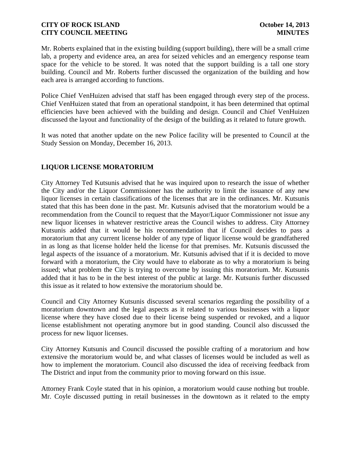Mr. Roberts explained that in the existing building (support building), there will be a small crime lab, a property and evidence area, an area for seized vehicles and an emergency response team space for the vehicle to be stored. It was noted that the support building is a tall one story building. Council and Mr. Roberts further discussed the organization of the building and how each area is arranged according to functions.

Police Chief VenHuizen advised that staff has been engaged through every step of the process. Chief VenHuizen stated that from an operational standpoint, it has been determined that optimal efficiencies have been achieved with the building and design. Council and Chief VenHuizen discussed the layout and functionality of the design of the building as it related to future growth.

It was noted that another update on the new Police facility will be presented to Council at the Study Session on Monday, December 16, 2013.

# **LIQUOR LICENSE MORATORIUM**

City Attorney Ted Kutsunis advised that he was inquired upon to research the issue of whether the City and/or the Liquor Commissioner has the authority to limit the issuance of any new liquor licenses in certain classifications of the licenses that are in the ordinances. Mr. Kutsunis stated that this has been done in the past. Mr. Kutsunis advised that the moratorium would be a recommendation from the Council to request that the Mayor/Liquor Commissioner not issue any new liquor licenses in whatever restrictive areas the Council wishes to address. City Attorney Kutsunis added that it would be his recommendation that if Council decides to pass a moratorium that any current license holder of any type of liquor license would be grandfathered in as long as that license holder held the license for that premises. Mr. Kutsunis discussed the legal aspects of the issuance of a moratorium. Mr. Kutsunis advised that if it is decided to move forward with a moratorium, the City would have to elaborate as to why a moratorium is being issued; what problem the City is trying to overcome by issuing this moratorium. Mr. Kutsunis added that it has to be in the best interest of the public at large. Mr. Kutsunis further discussed this issue as it related to how extensive the moratorium should be.

Council and City Attorney Kutsunis discussed several scenarios regarding the possibility of a moratorium downtown and the legal aspects as it related to various businesses with a liquor license where they have closed due to their license being suspended or revoked, and a liquor license establishment not operating anymore but in good standing. Council also discussed the process for new liquor licenses.

City Attorney Kutsunis and Council discussed the possible crafting of a moratorium and how extensive the moratorium would be, and what classes of licenses would be included as well as how to implement the moratorium. Council also discussed the idea of receiving feedback from The District and input from the community prior to moving forward on this issue.

Attorney Frank Coyle stated that in his opinion, a moratorium would cause nothing but trouble. Mr. Coyle discussed putting in retail businesses in the downtown as it related to the empty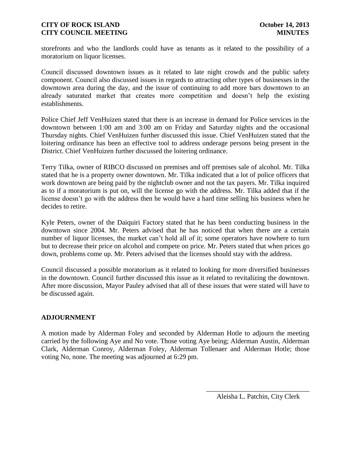storefronts and who the landlords could have as tenants as it related to the possibility of a moratorium on liquor licenses.

Council discussed downtown issues as it related to late night crowds and the public safety component. Council also discussed issues in regards to attracting other types of businesses in the downtown area during the day, and the issue of continuing to add more bars downtown to an already saturated market that creates more competition and doesn't help the existing establishments.

Police Chief Jeff VenHuizen stated that there is an increase in demand for Police services in the downtown between 1:00 am and 3:00 am on Friday and Saturday nights and the occasional Thursday nights. Chief VenHuizen further discussed this issue. Chief VenHuizen stated that the loitering ordinance has been an effective tool to address underage persons being present in the District. Chief VenHuizen further discussed the loitering ordinance.

Terry Tilka, owner of RIBCO discussed on premises and off premises sale of alcohol. Mr. Tilka stated that he is a property owner downtown. Mr. Tilka indicated that a lot of police officers that work downtown are being paid by the nightclub owner and not the tax payers. Mr. Tilka inquired as to if a moratorium is put on, will the license go with the address. Mr. Tilka added that if the license doesn't go with the address then he would have a hard time selling his business when he decides to retire.

Kyle Peters, owner of the Daiquiri Factory stated that he has been conducting business in the downtown since 2004. Mr. Peters advised that he has noticed that when there are a certain number of liquor licenses, the market can't hold all of it; some operators have nowhere to turn but to decrease their price on alcohol and compete on price. Mr. Peters stated that when prices go down, problems come up. Mr. Peters advised that the licenses should stay with the address.

Council discussed a possible moratorium as it related to looking for more diversified businesses in the downtown. Council further discussed this issue as it related to revitalizing the downtown. After more discussion, Mayor Pauley advised that all of these issues that were stated will have to be discussed again.

## **ADJOURNMENT**

A motion made by Alderman Foley and seconded by Alderman Hotle to adjourn the meeting carried by the following Aye and No vote. Those voting Aye being; Alderman Austin, Alderman Clark, Alderman Conroy, Alderman Foley, Alderman Tollenaer and Alderman Hotle; those voting No, none. The meeting was adjourned at 6:29 pm.

\_\_\_\_\_\_\_\_\_\_\_\_\_\_\_\_\_\_\_\_\_\_\_\_\_\_\_\_\_\_ Aleisha L. Patchin, City Clerk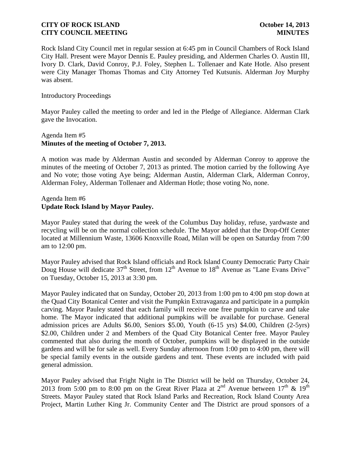Rock Island City Council met in regular session at 6:45 pm in Council Chambers of Rock Island City Hall. Present were Mayor Dennis E. Pauley presiding, and Aldermen Charles O. Austin III, Ivory D. Clark, David Conroy, P.J. Foley, Stephen L. Tollenaer and Kate Hotle. Also present were City Manager Thomas Thomas and City Attorney Ted Kutsunis. Alderman Joy Murphy was absent.

#### Introductory Proceedings

Mayor Pauley called the meeting to order and led in the Pledge of Allegiance. Alderman Clark gave the Invocation.

## Agenda Item #5 **Minutes of the meeting of October 7, 2013.**

A motion was made by Alderman Austin and seconded by Alderman Conroy to approve the minutes of the meeting of October 7, 2013 as printed. The motion carried by the following Aye and No vote; those voting Aye being; Alderman Austin, Alderman Clark, Alderman Conroy, Alderman Foley, Alderman Tollenaer and Alderman Hotle; those voting No, none.

## Agenda Item #6 **Update Rock Island by Mayor Pauley.**

Mayor Pauley stated that during the week of the Columbus Day holiday, refuse, yardwaste and recycling will be on the normal collection schedule. The Mayor added that the Drop-Off Center located at Millennium Waste, 13606 Knoxville Road, Milan will be open on Saturday from 7:00 am to 12:00 pm.

Mayor Pauley advised that Rock Island officials and Rock Island County Democratic Party Chair Doug House will dedicate  $37<sup>th</sup>$  Street, from  $12<sup>th</sup>$  Avenue to  $18<sup>th</sup>$  Avenue as "Lane Evans Drive" on Tuesday, October 15, 2013 at 3:30 pm.

Mayor Pauley indicated that on Sunday, October 20, 2013 from 1:00 pm to 4:00 pm stop down at the Quad City Botanical Center and visit the Pumpkin Extravaganza and participate in a pumpkin carving. Mayor Pauley stated that each family will receive one free pumpkin to carve and take home. The Mayor indicated that additional pumpkins will be available for purchase. General admission prices are Adults \$6.00, Seniors \$5.00, Youth (6-15 yrs) \$4.00, Children (2-5yrs) \$2.00, Children under 2 and Members of the Quad City Botanical Center free. Mayor Pauley commented that also during the month of October, pumpkins will be displayed in the outside gardens and will be for sale as well. Every Sunday afternoon from 1:00 pm to 4:00 pm, there will be special family events in the outside gardens and tent. These events are included with paid general admission.

Mayor Pauley advised that Fright Night in The District will be held on Thursday, October 24, 2013 from 5:00 pm to 8:00 pm on the Great River Plaza at 2<sup>nd</sup> Avenue between  $17<sup>th</sup>$  &  $19<sup>th</sup>$ Streets. Mayor Pauley stated that Rock Island Parks and Recreation, Rock Island County Area Project, Martin Luther King Jr. Community Center and The District are proud sponsors of a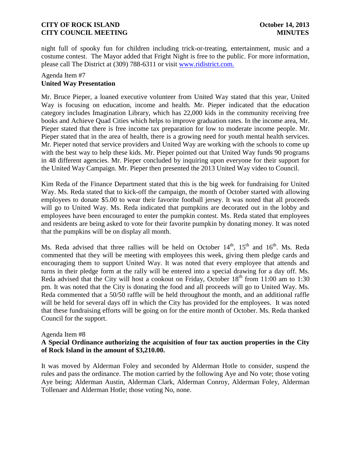night full of spooky fun for children including trick-or-treating, entertainment, music and a costume contest. The Mayor added that Fright Night is free to the public. For more information, please call The District at (309) 788-6311 or visit [www.ridistrict.com.](http://www.ridistrict.com/)

## Agenda Item #7 **United Way Presentation**

Mr. Bruce Pieper, a loaned executive volunteer from United Way stated that this year, United Way is focusing on education, income and health. Mr. Pieper indicated that the education category includes Imagination Library, which has 22,000 kids in the community receiving free books and Achieve Quad Cities which helps to improve graduation rates. In the income area, Mr. Pieper stated that there is free income tax preparation for low to moderate income people. Mr. Pieper stated that in the area of health, there is a growing need for youth mental health services. Mr. Pieper noted that service providers and United Way are working with the schools to come up with the best way to help these kids. Mr. Pieper pointed out that United Way funds 90 programs in 48 different agencies. Mr. Pieper concluded by inquiring upon everyone for their support for the United Way Campaign. Mr. Pieper then presented the 2013 United Way video to Council.

Kim Reda of the Finance Department stated that this is the big week for fundraising for United Way. Ms. Reda stated that to kick-off the campaign, the month of October started with allowing employees to donate \$5.00 to wear their favorite football jersey. It was noted that all proceeds will go to United Way. Ms. Reda indicated that pumpkins are decorated out in the lobby and employees have been encouraged to enter the pumpkin contest. Ms. Reda stated that employees and residents are being asked to vote for their favorite pumpkin by donating money. It was noted that the pumpkins will be on display all month.

Ms. Reda advised that three rallies will be held on October  $14<sup>th</sup>$ ,  $15<sup>th</sup>$  and  $16<sup>th</sup>$ . Ms. Reda commented that they will be meeting with employees this week, giving them pledge cards and encouraging them to support United Way. It was noted that every employee that attends and turns in their pledge form at the rally will be entered into a special drawing for a day off. Ms. Reda advised that the City will host a cookout on Friday, October  $18<sup>th</sup>$  from 11:00 am to 1:30 pm. It was noted that the City is donating the food and all proceeds will go to United Way. Ms. Reda commented that a 50/50 raffle will be held throughout the month, and an additional raffle will be held for several days off in which the City has provided for the employees. It was noted that these fundraising efforts will be going on for the entire month of October. Ms. Reda thanked Council for the support.

#### Agenda Item #8

## **A Special Ordinance authorizing the acquisition of four tax auction properties in the City of Rock Island in the amount of \$3,210.00.**

It was moved by Alderman Foley and seconded by Alderman Hotle to consider, suspend the rules and pass the ordinance. The motion carried by the following Aye and No vote; those voting Aye being; Alderman Austin, Alderman Clark, Alderman Conroy, Alderman Foley, Alderman Tollenaer and Alderman Hotle; those voting No, none.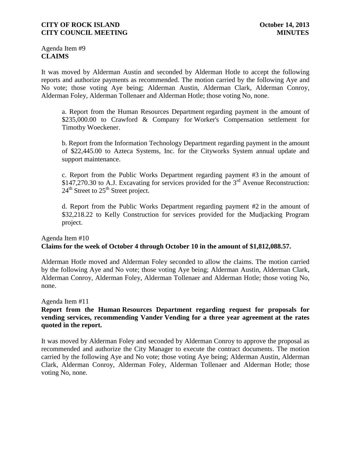Agenda Item #9 **CLAIMS**

It was moved by Alderman Austin and seconded by Alderman Hotle to accept the following reports and authorize payments as recommended. The motion carried by the following Aye and No vote; those voting Aye being; Alderman Austin, Alderman Clark, Alderman Conroy, Alderman Foley, Alderman Tollenaer and Alderman Hotle; those voting No, none.

a. Report from the Human Resources Department regarding payment in the amount of \$235,000.00 to Crawford & Company for Worker's Compensation settlement for Timothy Woeckener.

b. Report from the Information Technology Department regarding payment in the amount of \$22,445.00 to Azteca Systems, Inc. for the Cityworks System annual update and support maintenance.

c. Report from the Public Works Department regarding payment #3 in the amount of \$147,270.30 to A.J. Excavating for services provided for the 3<sup>rd</sup> Avenue Reconstruction:  $24<sup>th</sup>$  Street to  $25<sup>th</sup>$  Street project.

d. Report from the Public Works Department regarding payment #2 in the amount of \$32,218.22 to Kelly Construction for services provided for the Mudjacking Program project.

## Agenda Item #10 **Claims for the week of October 4 through October 10 in the amount of \$1,812,088.57.**

Alderman Hotle moved and Alderman Foley seconded to allow the claims. The motion carried by the following Aye and No vote; those voting Aye being; Alderman Austin, Alderman Clark, Alderman Conroy, Alderman Foley, Alderman Tollenaer and Alderman Hotle; those voting No, none.

Agenda Item #11

## **Report from the Human Resources Department regarding request for proposals for vending services, recommending Vander Vending for a three year agreement at the rates quoted in the report.**

It was moved by Alderman Foley and seconded by Alderman Conroy to approve the proposal as recommended and authorize the City Manager to execute the contract documents. The motion carried by the following Aye and No vote; those voting Aye being; Alderman Austin, Alderman Clark, Alderman Conroy, Alderman Foley, Alderman Tollenaer and Alderman Hotle; those voting No, none.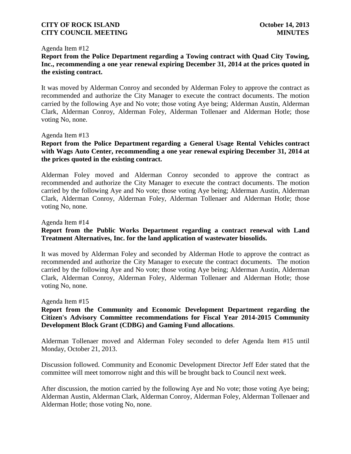#### Agenda Item #12

**Report from the Police Department regarding a Towing contract with Quad City Towing, Inc., recommending a one year renewal expiring December 31, 2014 at the prices quoted in the existing contract.** 

It was moved by Alderman Conroy and seconded by Alderman Foley to approve the contract as recommended and authorize the City Manager to execute the contract documents. The motion carried by the following Aye and No vote; those voting Aye being; Alderman Austin, Alderman Clark, Alderman Conroy, Alderman Foley, Alderman Tollenaer and Alderman Hotle; those voting No, none.

#### Agenda Item #13

## **Report from the Police Department regarding a General Usage Rental Vehicles contract with Wags Auto Center, recommending a one year renewal expiring December 31, 2014 at the prices quoted in the existing contract.**

Alderman Foley moved and Alderman Conroy seconded to approve the contract as recommended and authorize the City Manager to execute the contract documents. The motion carried by the following Aye and No vote; those voting Aye being; Alderman Austin, Alderman Clark, Alderman Conroy, Alderman Foley, Alderman Tollenaer and Alderman Hotle; those voting No, none.

#### Agenda Item #14

## **Report from the Public Works Department regarding a contract renewal with Land Treatment Alternatives, Inc. for the land application of wastewater biosolids.**

It was moved by Alderman Foley and seconded by Alderman Hotle to approve the contract as recommended and authorize the City Manager to execute the contract documents. The motion carried by the following Aye and No vote; those voting Aye being; Alderman Austin, Alderman Clark, Alderman Conroy, Alderman Foley, Alderman Tollenaer and Alderman Hotle; those voting No, none.

#### Agenda Item #15

## **Report from the Community and Economic Development Department regarding the Citizen's Advisory Committee recommendations for Fiscal Year 2014-2015 Community Development Block Grant (CDBG) and Gaming Fund allocations**.

Alderman Tollenaer moved and Alderman Foley seconded to defer Agenda Item #15 until Monday, October 21, 2013.

Discussion followed. Community and Economic Development Director Jeff Eder stated that the committee will meet tomorrow night and this will be brought back to Council next week.

After discussion, the motion carried by the following Aye and No vote; those voting Aye being; Alderman Austin, Alderman Clark, Alderman Conroy, Alderman Foley, Alderman Tollenaer and Alderman Hotle; those voting No, none.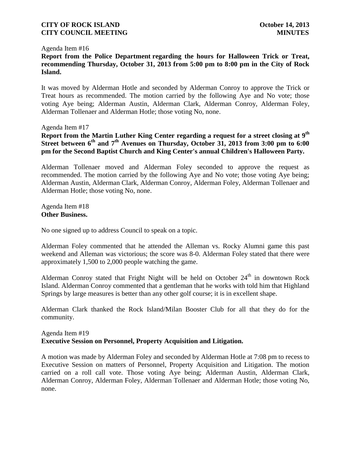#### Agenda Item #16

**Report from the Police Department regarding the hours for Halloween Trick or Treat, recommending Thursday, October 31, 2013 from 5:00 pm to 8:00 pm in the City of Rock Island.**

It was moved by Alderman Hotle and seconded by Alderman Conroy to approve the Trick or Treat hours as recommended. The motion carried by the following Aye and No vote; those voting Aye being; Alderman Austin, Alderman Clark, Alderman Conroy, Alderman Foley, Alderman Tollenaer and Alderman Hotle; those voting No, none.

#### Agenda Item #17

**Report from the Martin Luther King Center regarding a request for a street closing at 9th Street between 6th and 7th Avenues on Thursday, October 31, 2013 from 3:00 pm to 6:00 pm for the Second Baptist Church and King Center's annual Children's Halloween Party.**

Alderman Tollenaer moved and Alderman Foley seconded to approve the request as recommended. The motion carried by the following Aye and No vote; those voting Aye being; Alderman Austin, Alderman Clark, Alderman Conroy, Alderman Foley, Alderman Tollenaer and Alderman Hotle; those voting No, none.

Agenda Item #18 **Other Business.**

No one signed up to address Council to speak on a topic.

Alderman Foley commented that he attended the Alleman vs. Rocky Alumni game this past weekend and Alleman was victorious; the score was 8-0. Alderman Foley stated that there were approximately 1,500 to 2,000 people watching the game.

Alderman Conroy stated that Fright Night will be held on October  $24<sup>th</sup>$  in downtown Rock Island. Alderman Conroy commented that a gentleman that he works with told him that Highland Springs by large measures is better than any other golf course; it is in excellent shape.

Alderman Clark thanked the Rock Island/Milan Booster Club for all that they do for the community.

## Agenda Item #19 **Executive Session on Personnel, Property Acquisition and Litigation.**

A motion was made by Alderman Foley and seconded by Alderman Hotle at 7:08 pm to recess to Executive Session on matters of Personnel, Property Acquisition and Litigation. The motion carried on a roll call vote. Those voting Aye being; Alderman Austin, Alderman Clark, Alderman Conroy, Alderman Foley, Alderman Tollenaer and Alderman Hotle; those voting No, none.